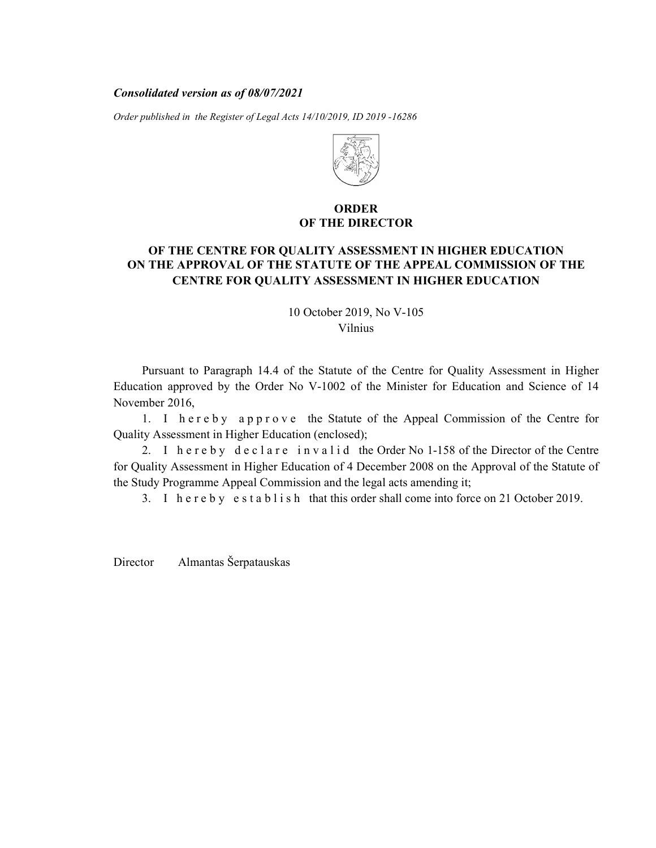#### Consolidated version as of 08/07/2021

Order published in the Register of Legal Acts 14/10/2019, ID 2019 -16286



## ORDER OF THE DIRECTOR

# OF THE CENTRE FOR QUALITY ASSESSMENT IN HIGHER EDUCATION ON THE APPROVAL OF THE STATUTE OF THE APPEAL COMMISSION OF THE CENTRE FOR QUALITY ASSESSMENT IN HIGHER EDUCATION

10 October 2019, No V-105 Vilnius

Pursuant to Paragraph 14.4 of the Statute of the Centre for Quality Assessment in Higher Education approved by the Order No V-1002 of the Minister for Education and Science of 14 November 2016, **EXERCT OF THE CENTRE FOR QUALITY ASSESSMENT IN HIGHER EDUCATION**<br> **1. IFTER STATUTE OF THE APPEAL COMMISSION OF THE CENTRE FOR QUALITY ASSESSMENT IN HIGHER EDUCATION**<br> **1. ICENTRE FOR QUALITY ASSESSMENT IN HIGHER EDUCATI EXECUTE:** OF THE CENTRE FOR QUALITY ASSESSMENT IN HIGHER EDUCATION<br>
THE APPROVAL OF THE STATUTE OF THE APPEAL COMMISSION OF THE<br>
CENTRE FOR QUALITY ASSESSMENT IN HIGHER EDUCATION<br>  $10$  October 2019, No V-105<br>
Vilnius<br>
Pu OF THE DIRECTOR<br>
THE APPROVAL OF THE STATUTE OF THE APPEAL COMMISSION OF THE<br>
CENTRE FOR QUALITY ASSESSMENT IN HIGHER EDUCATION<br>
10 October 2019, No V-105<br>
Vilnius<br>
Pursuant to Paragraph 14.4 of the Statute of the Centre f

Quality Assessment in Higher Education (enclosed);

for Quality Assessment in Higher Education of 4 December 2008 on the Approval of the Statute of the Study Programme Appeal Commission and the legal acts amending it;

Director Almantas Šerpatauskas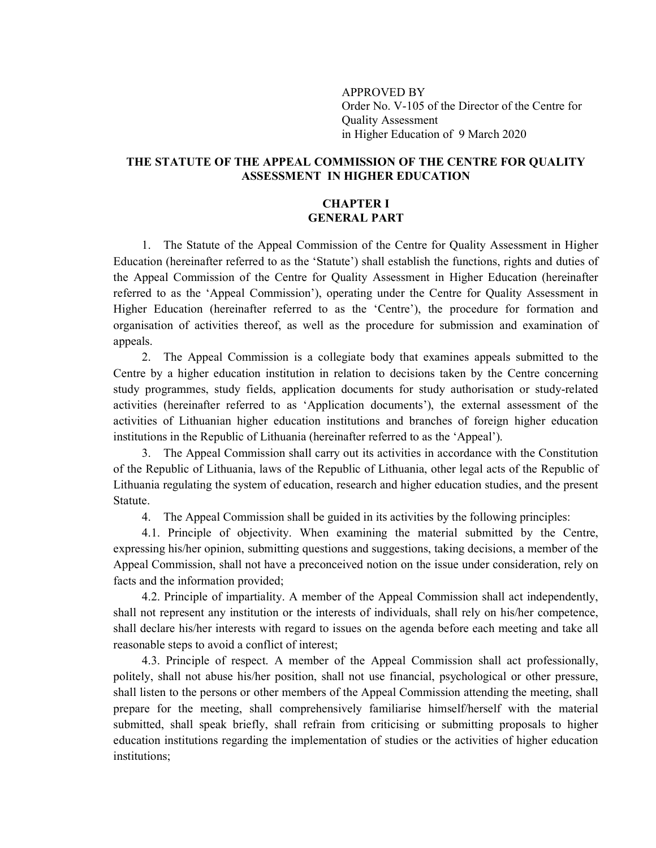APPROVED BY Order No. V-105 of the Director of the Centre for Quality Assessment in Higher Education of 9 March 2020

## THE STATUTE OF THE APPEAL COMMISSION OF THE CENTRE FOR QUALITY ASSESSMENT IN HIGHER EDUCATION

## CHAPTER I GENERAL PART

1. The Statute of the Appeal Commission of the Centre for Quality Assessment in Higher Education (hereinafter referred to as the 'Statute') shall establish the functions, rights and duties of the Appeal Commission of the Centre for Quality Assessment in Higher Education (hereinafter referred to as the 'Appeal Commission'), operating under the Centre for Quality Assessment in Higher Education (hereinafter referred to as the 'Centre'), the procedure for formation and organisation of activities thereof, as well as the procedure for submission and examination of appeals.

2. The Appeal Commission is a collegiate body that examines appeals submitted to the Centre by a higher education institution in relation to decisions taken by the Centre concerning study programmes, study fields, application documents for study authorisation or study-related activities (hereinafter referred to as 'Application documents'), the external assessment of the activities of Lithuanian higher education institutions and branches of foreign higher education institutions in the Republic of Lithuania (hereinafter referred to as the 'Appeal').

3. The Appeal Commission shall carry out its activities in accordance with the Constitution of the Republic of Lithuania, laws of the Republic of Lithuania, other legal acts of the Republic of Lithuania regulating the system of education, research and higher education studies, and the present Statute.

4. The Appeal Commission shall be guided in its activities by the following principles:

4.1. Principle of objectivity. When examining the material submitted by the Centre, expressing his/her opinion, submitting questions and suggestions, taking decisions, a member of the Appeal Commission, shall not have a preconceived notion on the issue under consideration, rely on facts and the information provided;

4.2. Principle of impartiality. A member of the Appeal Commission shall act independently, shall not represent any institution or the interests of individuals, shall rely on his/her competence, shall declare his/her interests with regard to issues on the agenda before each meeting and take all reasonable steps to avoid a conflict of interest;

4.3. Principle of respect. A member of the Appeal Commission shall act professionally, politely, shall not abuse his/her position, shall not use financial, psychological or other pressure, shall listen to the persons or other members of the Appeal Commission attending the meeting, shall prepare for the meeting, shall comprehensively familiarise himself/herself with the material submitted, shall speak briefly, shall refrain from criticising or submitting proposals to higher education institutions regarding the implementation of studies or the activities of higher education institutions;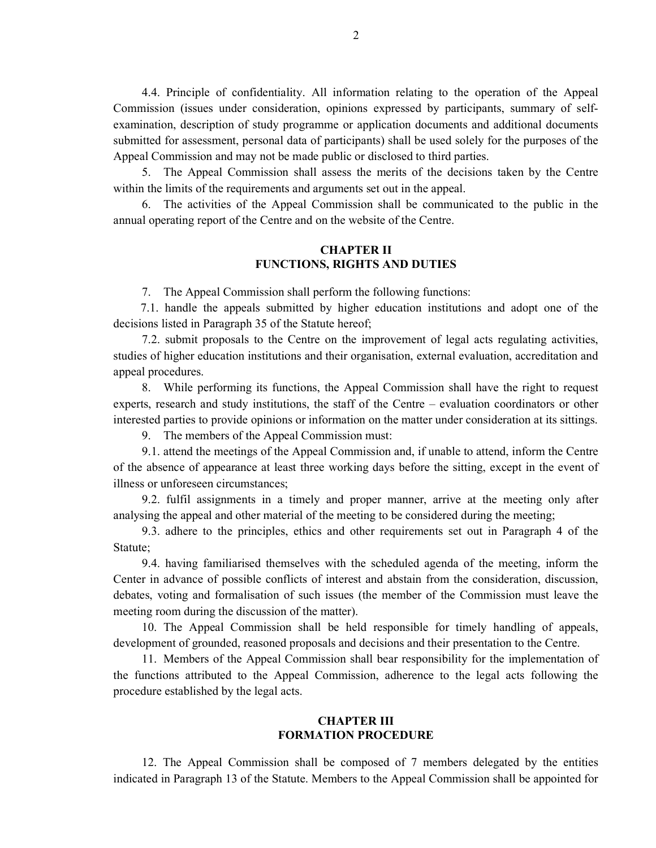4.4. Principle of confidentiality. All information relating to the operation of the Appeal Commission (issues under consideration, opinions expressed by participants, summary of selfexamination, description of study programme or application documents and additional documents submitted for assessment, personal data of participants) shall be used solely for the purposes of the Appeal Commission and may not be made public or disclosed to third parties.

5. The Appeal Commission shall assess the merits of the decisions taken by the Centre within the limits of the requirements and arguments set out in the appeal.

6. The activities of the Appeal Commission shall be communicated to the public in the annual operating report of the Centre and on the website of the Centre.

## CHAPTER II FUNCTIONS, RIGHTS AND DUTIES

7. The Appeal Commission shall perform the following functions:

7.1. handle the appeals submitted by higher education institutions and adopt one of the decisions listed in Paragraph 35 of the Statute hereof;

7.2. submit proposals to the Centre on the improvement of legal acts regulating activities, studies of higher education institutions and their organisation, external evaluation, accreditation and appeal procedures.

8. While performing its functions, the Appeal Commission shall have the right to request experts, research and study institutions, the staff of the Centre – evaluation coordinators or other interested parties to provide opinions or information on the matter under consideration at its sittings.

9. The members of the Appeal Commission must:

9.1. attend the meetings of the Appeal Commission and, if unable to attend, inform the Centre of the absence of appearance at least three working days before the sitting, except in the event of illness or unforeseen circumstances;

9.2. fulfil assignments in a timely and proper manner, arrive at the meeting only after analysing the appeal and other material of the meeting to be considered during the meeting;

9.3. adhere to the principles, ethics and other requirements set out in Paragraph 4 of the Statute;

9.4. having familiarised themselves with the scheduled agenda of the meeting, inform the Center in advance of possible conflicts of interest and abstain from the consideration, discussion, debates, voting and formalisation of such issues (the member of the Commission must leave the meeting room during the discussion of the matter).

10. The Appeal Commission shall be held responsible for timely handling of appeals, development of grounded, reasoned proposals and decisions and their presentation to the Centre.

11. Members of the Appeal Commission shall bear responsibility for the implementation of the functions attributed to the Appeal Commission, adherence to the legal acts following the procedure established by the legal acts.

#### CHAPTER III FORMATION PROCEDURE

12. The Appeal Commission shall be composed of 7 members delegated by the entities indicated in Paragraph 13 of the Statute. Members to the Appeal Commission shall be appointed for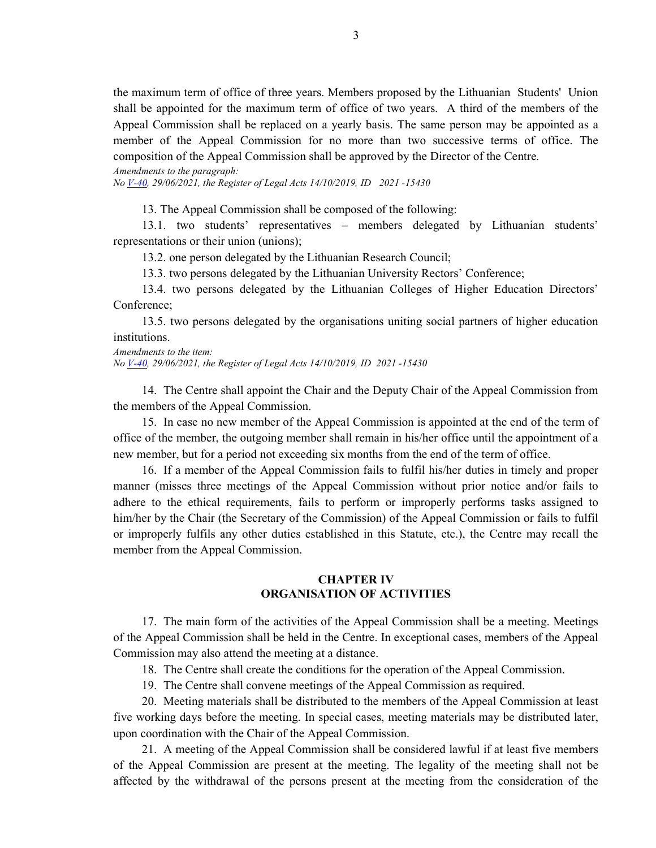the maximum term of office of three years. Members proposed by the Lithuanian Students' Union shall be appointed for the maximum term of office of two years. A third of the members of the Appeal Commission shall be replaced on a yearly basis. The same person may be appointed as a member of the Appeal Commission for no more than two successive terms of office. The composition of the Appeal Commission shall be approved by the Director of the Centre.

Amendments to the paragraph:

No <u>V-40</u>, 29/06/2021, the Register of Legal Acts 14/10/2019, ID 2021-15430

13. The Appeal Commission shall be composed of the following:

13.1. two students' representatives – members delegated by Lithuanian students' representations or their union (unions);

13.2. one person delegated by the Lithuanian Research Council;

13.3. two persons delegated by the Lithuanian University Rectors' Conference;

13.4. two persons delegated by the Lithuanian Colleges of Higher Education Directors' Conference;

13.5. two persons delegated by the organisations uniting social partners of higher education institutions.

Amendments to the item:

No <u>V-40</u>, 29/06/2021, the Register of Legal Acts 14/10/2019, ID 2021-15430

14. The Centre shall appoint the Chair and the Deputy Chair of the Appeal Commission from the members of the Appeal Commission.

15. In case no new member of the Appeal Commission is appointed at the end of the term of office of the member, the outgoing member shall remain in his/her office until the appointment of a new member, but for a period not exceeding six months from the end of the term of office.

16. If a member of the Appeal Commission fails to fulfil his/her duties in timely and proper manner (misses three meetings of the Appeal Commission without prior notice and/or fails to adhere to the ethical requirements, fails to perform or improperly performs tasks assigned to him/her by the Chair (the Secretary of the Commission) of the Appeal Commission or fails to fulfil or improperly fulfils any other duties established in this Statute, etc.), the Centre may recall the member from the Appeal Commission.

## CHAPTER IV ORGANISATION OF ACTIVITIES

17. The main form of the activities of the Appeal Commission shall be a meeting. Meetings of the Appeal Commission shall be held in the Centre. In exceptional cases, members of the Appeal Commission may also attend the meeting at a distance.

18. The Centre shall create the conditions for the operation of the Appeal Commission.

19. The Centre shall convene meetings of the Appeal Commission as required.

20. Meeting materials shall be distributed to the members of the Appeal Commission at least five working days before the meeting. In special cases, meeting materials may be distributed later, upon coordination with the Chair of the Appeal Commission.

21. A meeting of the Appeal Commission shall be considered lawful if at least five members of the Appeal Commission are present at the meeting. The legality of the meeting shall not be affected by the withdrawal of the persons present at the meeting from the consideration of the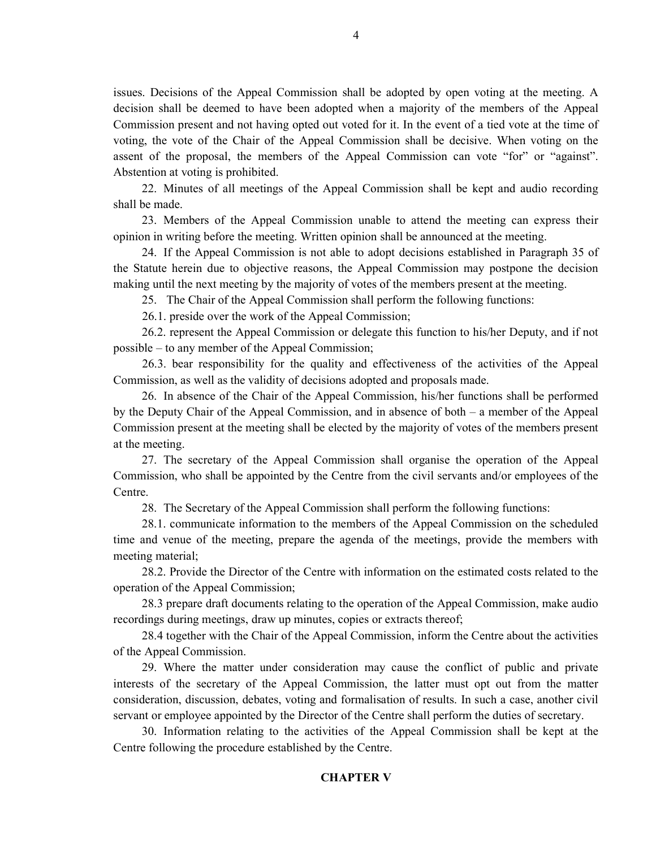issues. Decisions of the Appeal Commission shall be adopted by open voting at the meeting. A decision shall be deemed to have been adopted when a majority of the members of the Appeal Commission present and not having opted out voted for it. In the event of a tied vote at the time of voting, the vote of the Chair of the Appeal Commission shall be decisive. When voting on the assent of the proposal, the members of the Appeal Commission can vote "for" or "against". Abstention at voting is prohibited.

22. Minutes of all meetings of the Appeal Commission shall be kept and audio recording shall be made.

23. Members of the Appeal Commission unable to attend the meeting can express their opinion in writing before the meeting. Written opinion shall be announced at the meeting.

24. If the Appeal Commission is not able to adopt decisions established in Paragraph 35 of the Statute herein due to objective reasons, the Appeal Commission may postpone the decision making until the next meeting by the majority of votes of the members present at the meeting.

25. The Chair of the Appeal Commission shall perform the following functions:

26.1. preside over the work of the Appeal Commission;

26.2. represent the Appeal Commission or delegate this function to his/her Deputy, and if not possible – to any member of the Appeal Commission;

26.3. bear responsibility for the quality and effectiveness of the activities of the Appeal Commission, as well as the validity of decisions adopted and proposals made.

26. In absence of the Chair of the Appeal Commission, his/her functions shall be performed by the Deputy Chair of the Appeal Commission, and in absence of both – a member of the Appeal Commission present at the meeting shall be elected by the majority of votes of the members present at the meeting.

27. The secretary of the Appeal Commission shall organise the operation of the Appeal Commission, who shall be appointed by the Centre from the civil servants and/or employees of the Centre.

28. The Secretary of the Appeal Commission shall perform the following functions:

28.1. communicate information to the members of the Appeal Commission on the scheduled time and venue of the meeting, prepare the agenda of the meetings, provide the members with meeting material;

28.2. Provide the Director of the Centre with information on the estimated costs related to the operation of the Appeal Commission;

28.3 prepare draft documents relating to the operation of the Appeal Commission, make audio recordings during meetings, draw up minutes, copies or extracts thereof;

28.4 together with the Chair of the Appeal Commission, inform the Centre about the activities of the Appeal Commission.

29. Where the matter under consideration may cause the conflict of public and private interests of the secretary of the Appeal Commission, the latter must opt out from the matter consideration, discussion, debates, voting and formalisation of results. In such a case, another civil servant or employee appointed by the Director of the Centre shall perform the duties of secretary.

30. Information relating to the activities of the Appeal Commission shall be kept at the Centre following the procedure established by the Centre.

## CHAPTER V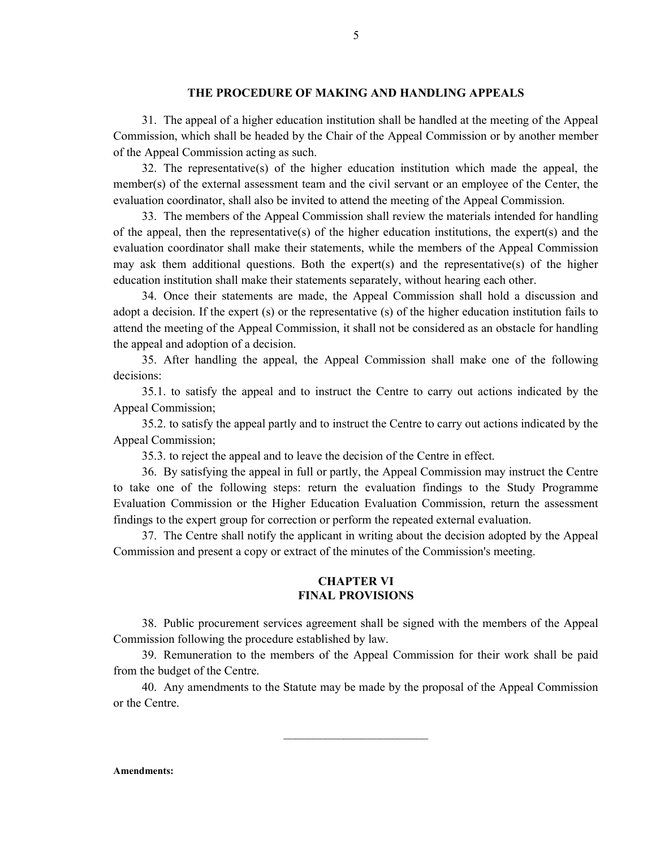#### THE PROCEDURE OF MAKING AND HANDLING APPEALS

31. The appeal of a higher education institution shall be handled at the meeting of the Appeal Commission, which shall be headed by the Chair of the Appeal Commission or by another member of the Appeal Commission acting as such.

32. The representative(s) of the higher education institution which made the appeal, the member(s) of the external assessment team and the civil servant or an employee of the Center, the evaluation coordinator, shall also be invited to attend the meeting of the Appeal Commission.

33. The members of the Appeal Commission shall review the materials intended for handling of the appeal, then the representative(s) of the higher education institutions, the expert(s) and the evaluation coordinator shall make their statements, while the members of the Appeal Commission may ask them additional questions. Both the expert(s) and the representative(s) of the higher education institution shall make their statements separately, without hearing each other.

34. Once their statements are made, the Appeal Commission shall hold a discussion and adopt a decision. If the expert (s) or the representative (s) of the higher education institution fails to attend the meeting of the Appeal Commission, it shall not be considered as an obstacle for handling the appeal and adoption of a decision.

35. After handling the appeal, the Appeal Commission shall make one of the following decisions:

35.1. to satisfy the appeal and to instruct the Centre to carry out actions indicated by the Appeal Commission;

35.2. to satisfy the appeal partly and to instruct the Centre to carry out actions indicated by the Appeal Commission;

35.3. to reject the appeal and to leave the decision of the Centre in effect.

36. By satisfying the appeal in full or partly, the Appeal Commission may instruct the Centre to take one of the following steps: return the evaluation findings to the Study Programme Evaluation Commission or the Higher Education Evaluation Commission, return the assessment findings to the expert group for correction or perform the repeated external evaluation.

37. The Centre shall notify the applicant in writing about the decision adopted by the Appeal Commission and present a copy or extract of the minutes of the Commission's meeting.

### CHAPTER VI FINAL PROVISIONS

38. Public procurement services agreement shall be signed with the members of the Appeal Commission following the procedure established by law.

39. Remuneration to the members of the Appeal Commission for their work shall be paid from the budget of the Centre.

40. Any amendments to the Statute may be made by the proposal of the Appeal Commission or the Centre.

 $\mathcal{L}_\text{max}$ 

5

Amendments: